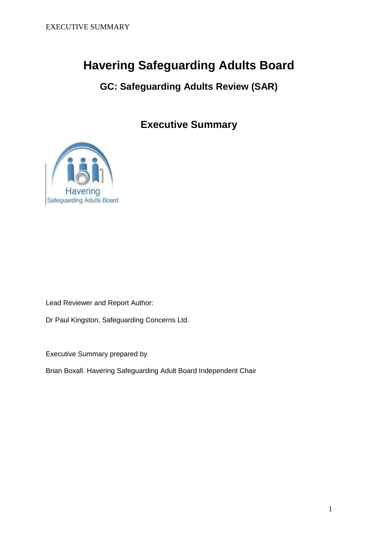# **Havering Safeguarding Adults Board**

**GC: Safeguarding Adults Review (SAR)**

**Executive Summary**



Lead Reviewer and Report Author:

Dr Paul Kingston, Safeguarding Concerns Ltd.

Executive Summary prepared by

Brian Boxall. Havering Safeguarding Adult Board Independent Chair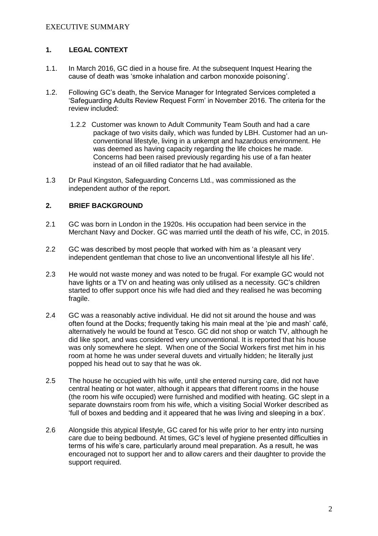# **1. LEGAL CONTEXT**

- 1.1. In March 2016, GC died in a house fire. At the subsequent Inquest Hearing the cause of death was 'smoke inhalation and carbon monoxide poisoning'.
- 1.2. Following GC's death, the Service Manager for Integrated Services completed a 'Safeguarding Adults Review Request Form' in November 2016. The criteria for the review included:
	- 1.2.2 Customer was known to Adult Community Team South and had a care package of two visits daily, which was funded by LBH. Customer had an unconventional lifestyle, living in a unkempt and hazardous environment. He was deemed as having capacity regarding the life choices he made. Concerns had been raised previously regarding his use of a fan heater instead of an oil filled radiator that he had available.
- 1.3 Dr Paul Kingston, Safeguarding Concerns Ltd., was commissioned as the independent author of the report.

# **2. BRIEF BACKGROUND**

- 2.1 GC was born in London in the 1920s. His occupation had been service in the Merchant Navy and Docker. GC was married until the death of his wife, CC, in 2015.
- 2.2 GC was described by most people that worked with him as 'a pleasant very independent gentleman that chose to live an unconventional lifestyle all his life'.
- 2.3 He would not waste money and was noted to be frugal. For example GC would not have lights or a TV on and heating was only utilised as a necessity. GC's children started to offer support once his wife had died and they realised he was becoming fragile.
- 2.4 GC was a reasonably active individual. He did not sit around the house and was often found at the Docks; frequently taking his main meal at the 'pie and mash' café, alternatively he would be found at Tesco. GC did not shop or watch TV, although he did like sport, and was considered very unconventional. It is reported that his house was only somewhere he slept. When one of the Social Workers first met him in his room at home he was under several duvets and virtually hidden; he literally just popped his head out to say that he was ok.
- 2.5 The house he occupied with his wife, until she entered nursing care, did not have central heating or hot water, although it appears that different rooms in the house (the room his wife occupied) were furnished and modified with heating. GC slept in a separate downstairs room from his wife, which a visiting Social Worker described as 'full of boxes and bedding and it appeared that he was living and sleeping in a box'.
- 2.6 Alongside this atypical lifestyle, GC cared for his wife prior to her entry into nursing care due to being bedbound. At times, GC's level of hygiene presented difficulties in terms of his wife's care, particularly around meal preparation. As a result, he was encouraged not to support her and to allow carers and their daughter to provide the support required.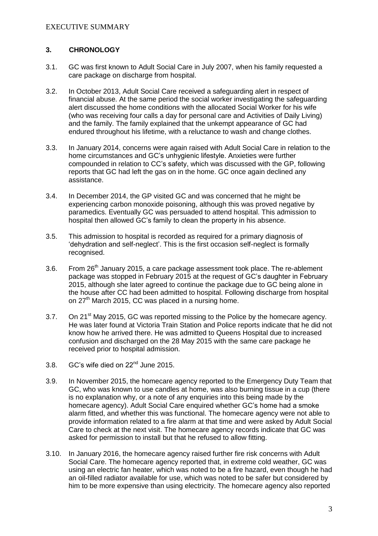# **3. CHRONOLOGY**

- 3.1. GC was first known to Adult Social Care in July 2007, when his family requested a care package on discharge from hospital.
- 3.2. In October 2013, Adult Social Care received a safeguarding alert in respect of financial abuse. At the same period the social worker investigating the safeguarding alert discussed the home conditions with the allocated Social Worker for his wife (who was receiving four calls a day for personal care and Activities of Daily Living) and the family. The family explained that the unkempt appearance of GC had endured throughout his lifetime, with a reluctance to wash and change clothes.
- 3.3. In January 2014, concerns were again raised with Adult Social Care in relation to the home circumstances and GC's unhygienic lifestyle. Anxieties were further compounded in relation to CC's safety, which was discussed with the GP, following reports that GC had left the gas on in the home. GC once again declined any assistance.
- 3.4. In December 2014, the GP visited GC and was concerned that he might be experiencing carbon monoxide poisoning, although this was proved negative by paramedics. Eventually GC was persuaded to attend hospital. This admission to hospital then allowed GC's family to clean the property in his absence.
- 3.5. This admission to hospital is recorded as required for a primary diagnosis of 'dehydration and self-neglect'. This is the first occasion self-neglect is formally recognised.
- 3.6. From 26<sup>th</sup> January 2015, a care package assessment took place. The re-ablement package was stopped in February 2015 at the request of GC's daughter in February 2015, although she later agreed to continue the package due to GC being alone in the house after CC had been admitted to hospital. Following discharge from hospital on  $27<sup>th</sup>$  March 2015, CC was placed in a nursing home.
- 3.7. On 21<sup>st</sup> May 2015, GC was reported missing to the Police by the homecare agency. He was later found at Victoria Train Station and Police reports indicate that he did not know how he arrived there. He was admitted to Queens Hospital due to increased confusion and discharged on the 28 May 2015 with the same care package he received prior to hospital admission.
- 3.8. GC's wife died on 22nd June 2015.
- 3.9. In November 2015, the homecare agency reported to the Emergency Duty Team that GC, who was known to use candles at home, was also burning tissue in a cup (there is no explanation why, or a note of any enquiries into this being made by the homecare agency). Adult Social Care enquired whether GC's home had a smoke alarm fitted, and whether this was functional. The homecare agency were not able to provide information related to a fire alarm at that time and were asked by Adult Social Care to check at the next visit. The homecare agency records indicate that GC was asked for permission to install but that he refused to allow fitting.
- 3.10. In January 2016, the homecare agency raised further fire risk concerns with Adult Social Care. The homecare agency reported that, in extreme cold weather, GC was using an electric fan heater, which was noted to be a fire hazard, even though he had an oil-filled radiator available for use, which was noted to be safer but considered by him to be more expensive than using electricity. The homecare agency also reported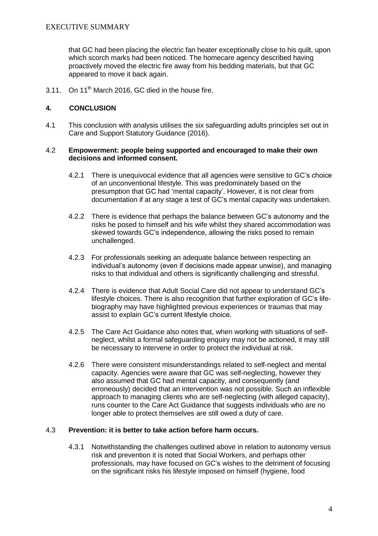that GC had been placing the electric fan heater exceptionally close to his quilt, upon which scorch marks had been noticed. The homecare agency described having proactively moved the electric fire away from his bedding materials, but that GC appeared to move it back again.

3.11. On  $11<sup>th</sup>$  March 2016, GC died in the house fire.

## **4. CONCLUSION**

4.1 This conclusion with analysis utilises the six safeguarding adults principles set out in Care and Support Statutory Guidance (2016).

#### 4.2 **Empowerment: people being supported and encouraged to make their own decisions and informed consent.**

- 4.2.1 There is unequivocal evidence that all agencies were sensitive to GC's choice of an unconventional lifestyle. This was predominately based on the presumption that GC had 'mental capacity'. However, it is not clear from documentation if at any stage a test of GC's mental capacity was undertaken.
- 4.2.2 There is evidence that perhaps the balance between GC's autonomy and the risks he posed to himself and his wife whilst they shared accommodation was skewed towards GC's independence, allowing the risks posed to remain unchallenged.
- 4.2.3 For professionals seeking an adequate balance between respecting an individual's autonomy (even if decisions made appear unwise), and managing risks to that individual and others is significantly challenging and stressful.
- 4.2.4 There is evidence that Adult Social Care did not appear to understand GC's lifestyle choices. There is also recognition that further exploration of GC's lifebiography may have highlighted previous experiences or traumas that may assist to explain GC's current lifestyle choice.
- 4.2.5 The Care Act Guidance also notes that, when working with situations of selfneglect, whilst a formal safeguarding enquiry may not be actioned, it may still be necessary to intervene in order to protect the individual at risk.
- 4.2.6 There were consistent misunderstandings related to self-neglect and mental capacity. Agencies were aware that GC was self-neglecting, however they also assumed that GC had mental capacity, and consequently (and erroneously) decided that an intervention was not possible. Such an inflexible approach to managing clients who are self-neglecting (with alleged capacity), runs counter to the Care Act Guidance that suggests individuals who are no longer able to protect themselves are still owed a duty of care.

## 4.3 **Prevention: it is better to take action before harm occurs.**

4.3.1 Notwithstanding the challenges outlined above in relation to autonomy versus risk and prevention it is noted that Social Workers, and perhaps other professionals, may have focused on GC's wishes to the detriment of focusing on the significant risks his lifestyle imposed on himself (hygiene, food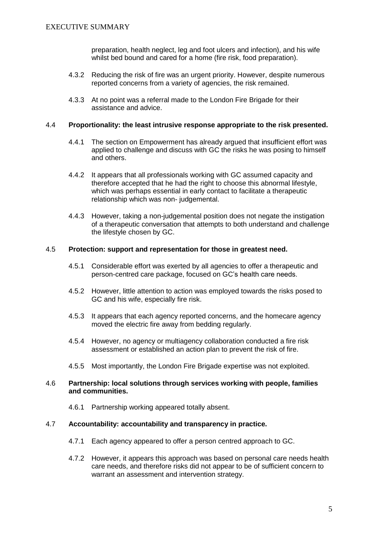preparation, health neglect, leg and foot ulcers and infection), and his wife whilst bed bound and cared for a home (fire risk, food preparation).

- 4.3.2 Reducing the risk of fire was an urgent priority. However, despite numerous reported concerns from a variety of agencies, the risk remained.
- 4.3.3 At no point was a referral made to the London Fire Brigade for their assistance and advice.

#### 4.4 **Proportionality: the least intrusive response appropriate to the risk presented.**

- 4.4.1 The section on Empowerment has already argued that insufficient effort was applied to challenge and discuss with GC the risks he was posing to himself and others.
- 4.4.2 It appears that all professionals working with GC assumed capacity and therefore accepted that he had the right to choose this abnormal lifestyle, which was perhaps essential in early contact to facilitate a therapeutic relationship which was non- judgemental.
- 4.4.3 However, taking a non-judgemental position does not negate the instigation of a therapeutic conversation that attempts to both understand and challenge the lifestyle chosen by GC.

#### 4.5 **Protection: support and representation for those in greatest need.**

- 4.5.1 Considerable effort was exerted by all agencies to offer a therapeutic and person-centred care package, focused on GC's health care needs.
- 4.5.2 However, little attention to action was employed towards the risks posed to GC and his wife, especially fire risk.
- 4.5.3 It appears that each agency reported concerns, and the homecare agency moved the electric fire away from bedding regularly.
- 4.5.4 However, no agency or multiagency collaboration conducted a fire risk assessment or established an action plan to prevent the risk of fire.
- 4.5.5 Most importantly, the London Fire Brigade expertise was not exploited.

#### 4.6 **Partnership: local solutions through services working with people, families and communities.**

4.6.1 Partnership working appeared totally absent.

## 4.7 **Accountability: accountability and transparency in practice.**

- 4.7.1 Each agency appeared to offer a person centred approach to GC.
- 4.7.2 However, it appears this approach was based on personal care needs health care needs, and therefore risks did not appear to be of sufficient concern to warrant an assessment and intervention strategy.